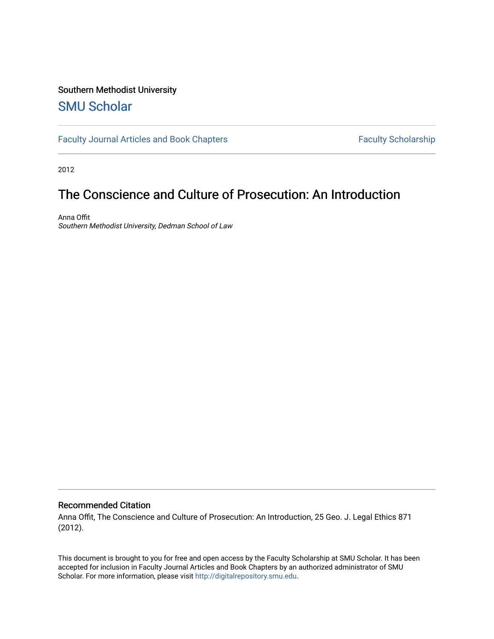## Southern Methodist University

## [SMU Scholar](https://scholar.smu.edu/)

[Faculty Journal Articles and Book Chapters](https://scholar.smu.edu/law_faculty) Faculty Scholarship

2012

# The Conscience and Culture of Prosecution: An Introduction

Anna Offit Southern Methodist University, Dedman School of Law

#### Recommended Citation

Anna Offit, The Conscience and Culture of Prosecution: An Introduction, 25 Geo. J. Legal Ethics 871 (2012).

This document is brought to you for free and open access by the Faculty Scholarship at SMU Scholar. It has been accepted for inclusion in Faculty Journal Articles and Book Chapters by an authorized administrator of SMU Scholar. For more information, please visit [http://digitalrepository.smu.edu.](http://digitalrepository.smu.edu/)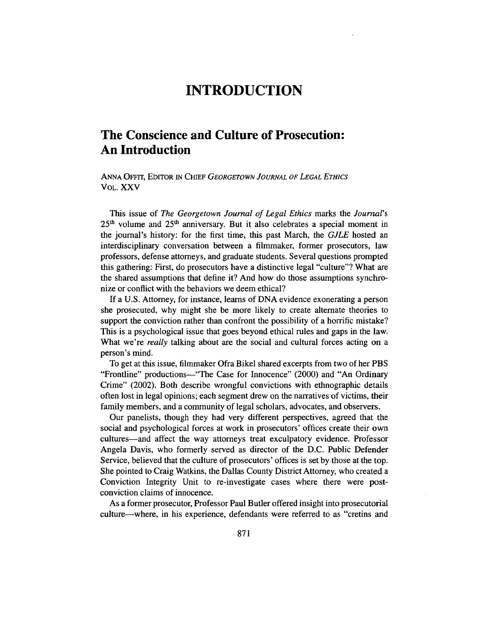## **INTRODUCTION**

### **The Conscience and Culture of Prosecution: An Introduction**

ANNA OFFrr, EDITOR **IN** *CHIEF* GEORGETOWN *JOURNAL OF LEGAL ETHIcs* VOL. XXV

This issue of *The Georgetown Journal of Legal Ethics* marks the *Journal's* **25h** volume and **251h** anniversary. But it also celebrates a special moment in the journal's history: for the first time, this past March, the *GJLE* hosted an interdisciplinary conversation between a filmmaker, former prosecutors, law professors, defense attorneys, and graduate students. Several questions prompted this gathering: First, do prosecutors have a distinctive legal "culture"? What are the shared assumptions that define it? And how do those assumptions synchronize or conflict with the behaviors we deem ethical?

**If** a **U.S.** Attorney, for instance, learns of **DNA** evidence exonerating a person she prosecuted, why might she be more likely to create alternate theories to support the conviction rather than confront the possibility of a horrific mistake? This is a psychological issue that goes beyond ethical rules and gaps in the law. What we're *really* talking about are the social and cultural forces acting on a person's mind.

To get at this issue, filmmaker Ofra Bikel shared excerpts from two of her PBS "Frontline" productions—"The Case for Innocence" (2000) and "An Ordinary Crime" (2002). Both describe wrongful convictions with ethnographic details often lost in legal opinions; each segment drew on the narratives of victims, their family members, and a community of legal scholars, advocates, and observers.

Our panelists, though they had very different perspectives, agreed that the social and psychological forces at work in prosecutors' offices create their own cultures-and affect the way attorneys treat exculpatory evidence. Professor Angela Davis, who formerly served as director of the **D.C.** Public Defender Service, believed that the culture of prosecutors' offices is set **by** those at the top. She pointed to Craig Watkins, the Dallas County District Attorney, who created a Conviction Integrity Unit to re-investigate cases where there were postconviction claims of innocence.

As a former prosecutor, Professor Paul Butler offered insight into prosecutorial culture-where, in his experience, defendants were referred to as "cretins and